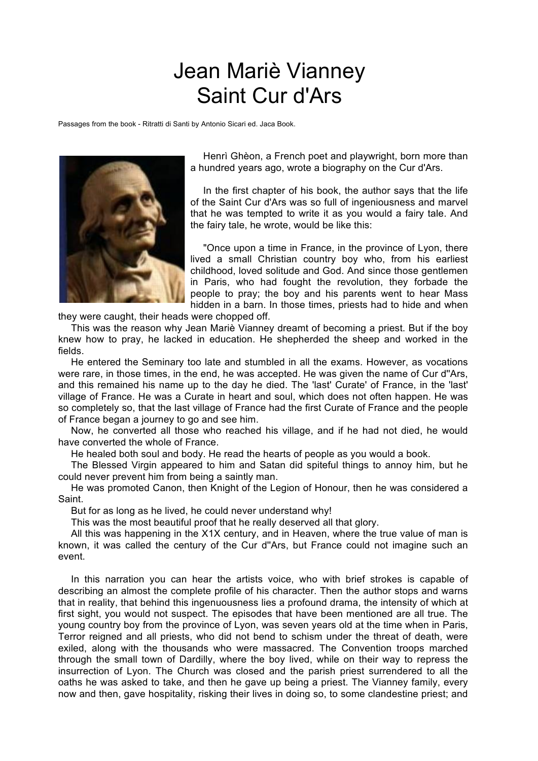## Jean Mariè Vianney Saint Cur d'Ars

Passages from the book - Ritratti di Santi by Antonio Sicari ed. Jaca Book.



Henrì Ghèon, a French poet and playwright, born more than a hundred years ago, wrote a biography on the Cur d'Ars.

In the first chapter of his book, the author says that the life of the Saint Cur d'Ars was so full of ingeniousness and marvel that he was tempted to write it as you would a fairy tale. And the fairy tale, he wrote, would be like this:

"Once upon a time in France, in the province of Lyon, there lived a small Christian country boy who, from his earliest childhood, loved solitude and God. And since those gentlemen in Paris, who had fought the revolution, they forbade the people to pray; the boy and his parents went to hear Mass hidden in a barn. In those times, priests had to hide and when

they were caught, their heads were chopped off.

This was the reason why Jean Mariè Vianney dreamt of becoming a priest. But if the boy knew how to pray, he lacked in education. He shepherded the sheep and worked in the fields.

He entered the Seminary too late and stumbled in all the exams. However, as vocations were rare, in those times, in the end, he was accepted. He was given the name of Cur d''Ars, and this remained his name up to the day he died. The 'last' Curate' of France, in the 'last' village of France. He was a Curate in heart and soul, which does not often happen. He was so completely so, that the last village of France had the first Curate of France and the people of France began a journey to go and see him.

Now, he converted all those who reached his village, and if he had not died, he would have converted the whole of France.

He healed both soul and body. He read the hearts of people as you would a book.

The Blessed Virgin appeared to him and Satan did spiteful things to annoy him, but he could never prevent him from being a saintly man.

He was promoted Canon, then Knight of the Legion of Honour, then he was considered a Saint.

But for as long as he lived, he could never understand why!

This was the most beautiful proof that he really deserved all that glory.

All this was happening in the X1X century, and in Heaven, where the true value of man is known, it was called the century of the Cur d''Ars, but France could not imagine such an event.

In this narration you can hear the artists voice, who with brief strokes is capable of describing an almost the complete profile of his character. Then the author stops and warns that in reality, that behind this ingenuousness lies a profound drama, the intensity of which at first sight, you would not suspect. The episodes that have been mentioned are all true. The young country boy from the province of Lyon, was seven years old at the time when in Paris, Terror reigned and all priests, who did not bend to schism under the threat of death, were exiled, along with the thousands who were massacred. The Convention troops marched through the small town of Dardilly, where the boy lived, while on their way to repress the insurrection of Lyon. The Church was closed and the parish priest surrendered to all the oaths he was asked to take, and then he gave up being a priest. The Vianney family, every now and then, gave hospitality, risking their lives in doing so, to some clandestine priest; and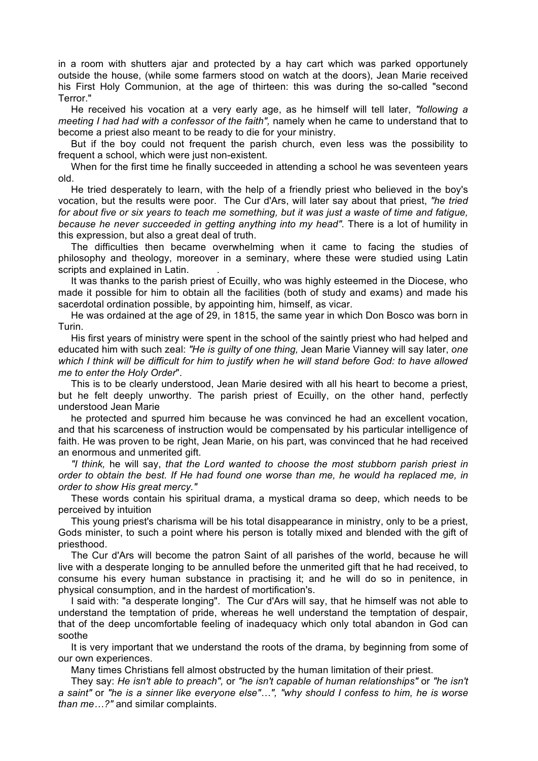in a room with shutters ajar and protected by a hay cart which was parked opportunely outside the house, (while some farmers stood on watch at the doors), Jean Marie received his First Holy Communion, at the age of thirteen: this was during the so-called "second Terror."

He received his vocation at a very early age, as he himself will tell later, *"following a meeting I had had with a confessor of the faith",* namely when he came to understand that to become a priest also meant to be ready to die for your ministry.

But if the boy could not frequent the parish church, even less was the possibility to frequent a school, which were just non-existent.

When for the first time he finally succeeded in attending a school he was seventeen years old.

He tried desperately to learn, with the help of a friendly priest who believed in the boy's vocation, but the results were poor. The Cur d'Ars, will later say about that priest, *"he tried for about five or six years to teach me something, but it was just a waste of time and fatigue, because he never succeeded in getting anything into my head".* There is a lot of humility in this expression, but also a great deal of truth.

The difficulties then became overwhelming when it came to facing the studies of philosophy and theology, moreover in a seminary, where these were studied using Latin scripts and explained in Latin.

It was thanks to the parish priest of Ecuilly, who was highly esteemed in the Diocese, who made it possible for him to obtain all the facilities (both of study and exams) and made his sacerdotal ordination possible, by appointing him, himself, as vicar.

He was ordained at the age of 29, in 1815, the same year in which Don Bosco was born in Turin.

His first years of ministry were spent in the school of the saintly priest who had helped and educated him with such zeal: *"He is guilty of one thing,* Jean Marie Vianney will say later, *one which I think will be difficult for him to justify when he will stand before God: to have allowed me to enter the Holy Order*".

This is to be clearly understood, Jean Marie desired with all his heart to become a priest, but he felt deeply unworthy. The parish priest of Ecuilly, on the other hand, perfectly understood Jean Marie

he protected and spurred him because he was convinced he had an excellent vocation, and that his scarceness of instruction would be compensated by his particular intelligence of faith. He was proven to be right, Jean Marie, on his part, was convinced that he had received an enormous and unmerited gift.

*"I think,* he will say, *that the Lord wanted to choose the most stubborn parish priest in order to obtain the best. If He had found one worse than me, he would ha replaced me, in order to show His great mercy."*

These words contain his spiritual drama, a mystical drama so deep, which needs to be perceived by intuition

This young priest's charisma will be his total disappearance in ministry, only to be a priest, Gods minister, to such a point where his person is totally mixed and blended with the gift of priesthood.

The Cur d'Ars will become the patron Saint of all parishes of the world, because he will live with a desperate longing to be annulled before the unmerited gift that he had received, to consume his every human substance in practising it; and he will do so in penitence, in physical consumption, and in the hardest of mortification's.

I said with: "a desperate longing". The Cur d'Ars will say, that he himself was not able to understand the temptation of pride, whereas he well understand the temptation of despair, that of the deep uncomfortable feeling of inadequacy which only total abandon in God can soothe

It is very important that we understand the roots of the drama, by beginning from some of our own experiences.

Many times Christians fell almost obstructed by the human limitation of their priest.

They say: *He isn't able to preach",* or *"he isn't capable of human relationships"* or *"he isn't a saint"* or *"he is a sinner like everyone else"…", "why should I confess to him, he is worse than me…?"* and similar complaints.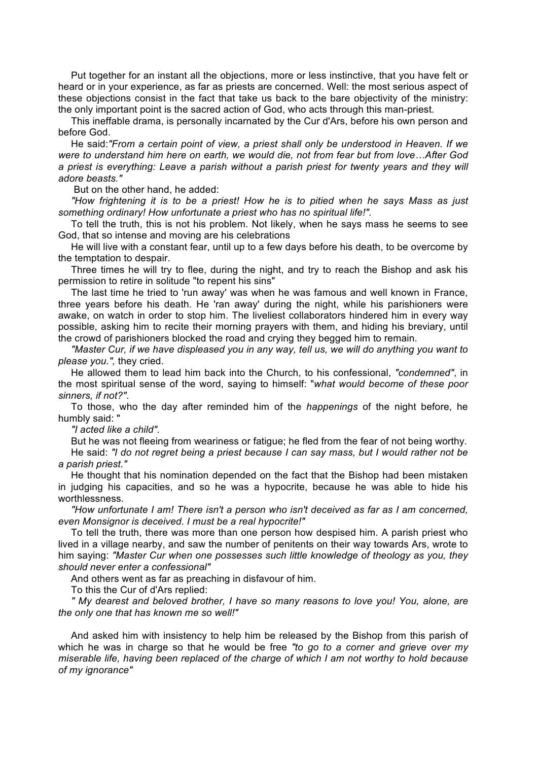Put together for an instant all the objections, more or less instinctive, that you have felt or heard or in your experience, as far as priests are concerned. Well: the most serious aspect of these objections consist in the fact that take us back to the bare objectivity of the ministry: the only important point is the sacred action of God, who acts through this man-priest.

This ineffable drama, is personally incarnated by the Cur d'Ars, before his own person and before God.

He said:*"From a certain point of view, a priest shall only be understood in Heaven. If we were to understand him here on earth, we would die, not from fear but from love…After God a priest is everything: Leave a parish without a parish priest for twenty years and they will adore beasts."*

But on the other hand, he added:

*"How frightening it is to be a priest! How he is to pitied when he says Mass as just something ordinary! How unfortunate a priest who has no spiritual life!".*

To tell the truth, this is not his problem. Not likely, when he says mass he seems to see God, that so intense and moving are his celebrations

He will live with a constant fear, until up to a few days before his death, to be overcome by the temptation to despair.

Three times he will try to flee, during the night, and try to reach the Bishop and ask his permission to retire in solitude "to repent his sins"

The last time he tried to 'run away' was when he was famous and well known in France, three years before his death. He 'ran away' during the night, while his parishioners were awake, on watch in order to stop him. The liveliest collaborators hindered him in every way possible, asking him to recite their morning prayers with them, and hiding his breviary, until the crowd of parishioners blocked the road and crying they begged him to remain.

*"Master Cur, if we have displeased you in any way, tell us, we will do anything you want to please you.",* they cried.

He allowed them to lead him back into the Church, to his confessional, *"condemned"*, in the most spiritual sense of the word, saying to himself: "*what would become of these poor sinners, if not?"*.

To those, who the day after reminded him of the *happenings* of the night before, he humbly said: "

*"I acted like a child".*

But he was not fleeing from weariness or fatigue; he fled from the fear of not being worthy.

He said: *"I do not regret being a priest because I can say mass, but I would rather not be a parish priest."*

He thought that his nomination depended on the fact that the Bishop had been mistaken in judging his capacities, and so he was a hypocrite, because he was able to hide his worthlessness.

*"How unfortunate I am! There isn't a person who isn't deceived as far as I am concerned, even Monsignor is deceived. I must be a real hypocrite!"*

To tell the truth, there was more than one person how despised him. A parish priest who lived in a village nearby, and saw the number of penitents on their way towards Ars, wrote to him saying: *"Master Cur when one possesses such little knowledge of theology as you, they should never enter a confessional"*

And others went as far as preaching in disfavour of him.

To this the Cur of d'Ars replied:

*" My dearest and beloved brother, I have so many reasons to love you! You, alone, are the only one that has known me so well!"*

And asked him with insistency to help him be released by the Bishop from this parish of which he was in charge so that he would be free *"to go to a corner and grieve over my miserable life, having been replaced of the charge of which I am not worthy to hold because of my ignorance"*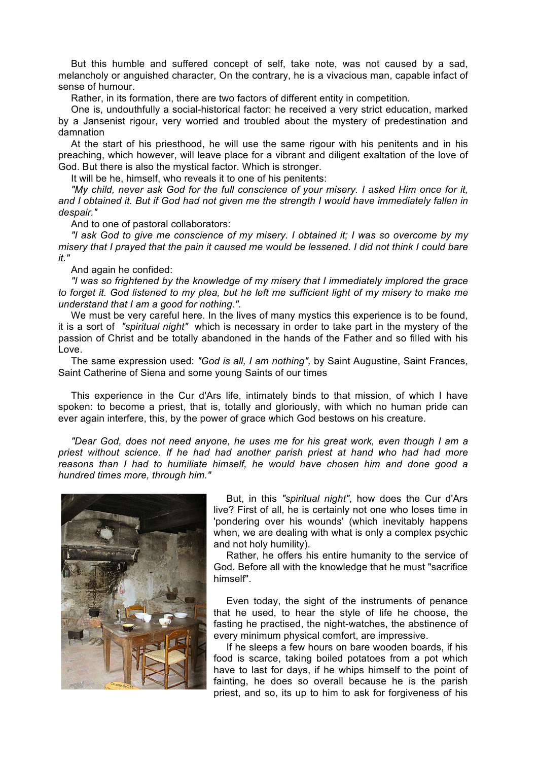But this humble and suffered concept of self, take note, was not caused by a sad, melancholy or anguished character, On the contrary, he is a vivacious man, capable infact of sense of humour.

Rather, in its formation, there are two factors of different entity in competition*.*

One is, undouthfully a social-historical factor: he received a very strict education, marked by a Jansenist rigour, very worried and troubled about the mystery of predestination and damnation

At the start of his priesthood, he will use the same rigour with his penitents and in his preaching, which however, will leave place for a vibrant and diligent exaltation of the love of God. But there is also the mystical factor. Which is stronger.

It will be he, himself, who reveals it to one of his penitents:

*"My child, never ask God for the full conscience of your misery. I asked Him once for it, and I obtained it. But if God had not given me the strength I would have immediately fallen in despair."*

And to one of pastoral collaborators:

*"I ask God to give me conscience of my misery. I obtained it; I was so overcome by my misery that I prayed that the pain it caused me would be lessened. I did not think I could bare it."*

And again he confided:

*"I was so frightened by the knowledge of my misery that I immediately implored the grace to forget it. God listened to my plea, but he left me sufficient light of my misery to make me understand that I am a good for nothing.".*

We must be very careful here. In the lives of many mystics this experience is to be found, it is a sort of *"spiritual night"* which is necessary in order to take part in the mystery of the passion of Christ and be totally abandoned in the hands of the Father and so filled with his Love.

The same expression used: *"God is all, I am nothing",* by Saint Augustine, Saint Frances, Saint Catherine of Siena and some young Saints of our times

This experience in the Cur d'Ars life, intimately binds to that mission, of which I have spoken: to become a priest, that is, totally and gloriously, with which no human pride can ever again interfere, this, by the power of grace which God bestows on his creature.

*"Dear God, does not need anyone, he uses me for his great work, even though I am a priest without science. If he had had another parish priest at hand who had had more reasons than I had to humiliate himself, he would have chosen him and done good a hundred times more, through him."*



But, in this *"spiritual night"*, how does the Cur d'Ars live? First of all, he is certainly not one who loses time in 'pondering over his wounds' (which inevitably happens when, we are dealing with what is only a complex psychic and not holy humility).

Rather, he offers his entire humanity to the service of God. Before all with the knowledge that he must "sacrifice himself".

Even today, the sight of the instruments of penance that he used, to hear the style of life he choose, the fasting he practised, the night-watches, the abstinence of every minimum physical comfort, are impressive.

If he sleeps a few hours on bare wooden boards, if his food is scarce, taking boiled potatoes from a pot which have to last for days, if he whips himself to the point of fainting, he does so overall because he is the parish priest, and so, its up to him to ask for forgiveness of his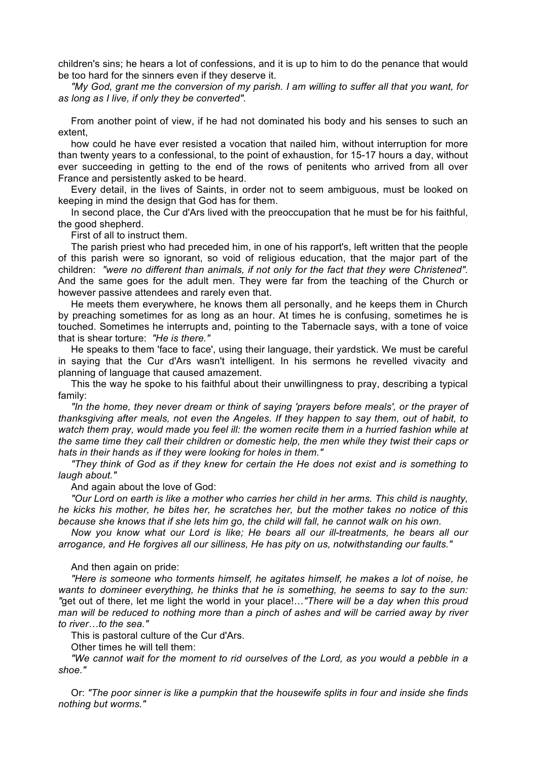children's sins; he hears a lot of confessions, and it is up to him to do the penance that would be too hard for the sinners even if they deserve it.

*"My God, grant me the conversion of my parish. I am willing to suffer all that you want, for as long as I live, if only they be converted".*

From another point of view, if he had not dominated his body and his senses to such an extent,

how could he have ever resisted a vocation that nailed him, without interruption for more than twenty years to a confessional, to the point of exhaustion, for 15-17 hours a day, without ever succeeding in getting to the end of the rows of penitents who arrived from all over France and persistently asked to be heard.

Every detail, in the lives of Saints, in order not to seem ambiguous, must be looked on keeping in mind the design that God has for them.

In second place, the Cur d'Ars lived with the preoccupation that he must be for his faithful, the good shepherd.

First of all to instruct them.

The parish priest who had preceded him, in one of his rapport's, left written that the people of this parish were so ignorant, so void of religious education, that the major part of the children: *"were no different than animals, if not only for the fact that they were Christened".*  And the same goes for the adult men. They were far from the teaching of the Church or however passive attendees and rarely even that.

He meets them everywhere, he knows them all personally, and he keeps them in Church by preaching sometimes for as long as an hour. At times he is confusing, sometimes he is touched. Sometimes he interrupts and, pointing to the Tabernacle says, with a tone of voice that is shear torture: *"He is there."*

He speaks to them 'face to face', using their language, their yardstick. We must be careful in saying that the Cur d'Ars wasn't intelligent. In his sermons he revelled vivacity and planning of language that caused amazement.

This the way he spoke to his faithful about their unwillingness to pray, describing a typical family:

*"In the home, they never dream or think of saying 'prayers before meals', or the prayer of thanksgiving after meals, not even the Angeles. If they happen to say them, out of habit, to watch them pray, would made you feel ill: the women recite them in a hurried fashion while at the same time they call their children or domestic help, the men while they twist their caps or hats in their hands as if they were looking for holes in them."*

*"They think of God as if they knew for certain the He does not exist and is something to laugh about."*

And again about the love of God:

*"Our Lord on earth is like a mother who carries her child in her arms. This child is naughty, he kicks his mother, he bites her, he scratches her, but the mother takes no notice of this because she knows that if she lets him go, the child will fall, he cannot walk on his own.*

*Now you know what our Lord is like; He bears all our ill-treatments, he bears all our arrogance, and He forgives all our silliness, He has pity on us, notwithstanding our faults."*

## And then again on pride:

*"Here is someone who torments himself, he agitates himself, he makes a lot of noise, he wants to domineer everything, he thinks that he is something, he seems to say to the sun: "*get out of there, let me light the world in your place!…*"There will be a day when this proud man will be reduced to nothing more than a pinch of ashes and will be carried away by river to river…to the sea."*

This is pastoral culture of the Cur d'Ars.

Other times he will tell them:

*"We cannot wait for the moment to rid ourselves of the Lord, as you would a pebble in a shoe."*

Or: *"The poor sinner is like a pumpkin that the housewife splits in four and inside she finds nothing but worms."*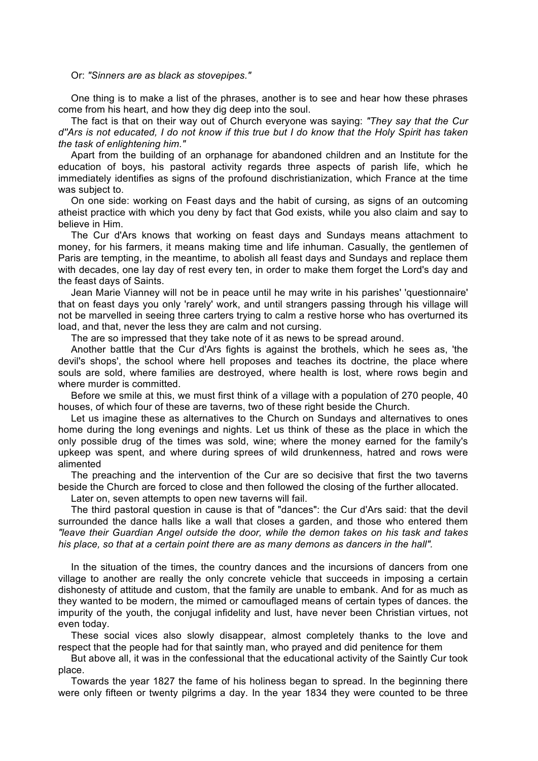Or: *"Sinners are as black as stovepipes."*

One thing is to make a list of the phrases, another is to see and hear how these phrases come from his heart, and how they dig deep into the soul.

The fact is that on their way out of Church everyone was saying: *"They say that the Cur d''Ars is not educated, I do not know if this true but I do know that the Holy Spirit has taken the task of enlightening him."*

Apart from the building of an orphanage for abandoned children and an Institute for the education of boys, his pastoral activity regards three aspects of parish life, which he immediately identifies as signs of the profound dischristianization, which France at the time was subject to.

On one side: working on Feast days and the habit of cursing, as signs of an outcoming atheist practice with which you deny by fact that God exists, while you also claim and say to believe in Him.

The Cur d'Ars knows that working on feast days and Sundays means attachment to money, for his farmers, it means making time and life inhuman. Casually, the gentlemen of Paris are tempting, in the meantime, to abolish all feast days and Sundays and replace them with decades, one lay day of rest every ten, in order to make them forget the Lord's day and the feast days of Saints.

Jean Marie Vianney will not be in peace until he may write in his parishes' 'questionnaire' that on feast days you only 'rarely' work, and until strangers passing through his village will not be marvelled in seeing three carters trying to calm a restive horse who has overturned its load, and that, never the less they are calm and not cursing.

The are so impressed that they take note of it as news to be spread around.

Another battle that the Cur d'Ars fights is against the brothels, which he sees as, 'the devil's shops', the school where hell proposes and teaches its doctrine, the place where souls are sold, where families are destroyed, where health is lost, where rows begin and where murder is committed.

Before we smile at this, we must first think of a village with a population of 270 people, 40 houses, of which four of these are taverns, two of these right beside the Church.

Let us imagine these as alternatives to the Church on Sundays and alternatives to ones home during the long evenings and nights. Let us think of these as the place in which the only possible drug of the times was sold, wine; where the money earned for the family's upkeep was spent, and where during sprees of wild drunkenness, hatred and rows were alimented

The preaching and the intervention of the Cur are so decisive that first the two taverns beside the Church are forced to close and then followed the closing of the further allocated.

Later on, seven attempts to open new taverns will fail.

The third pastoral question in cause is that of "dances": the Cur d'Ars said: that the devil surrounded the dance halls like a wall that closes a garden, and those who entered them *"leave their Guardian Angel outside the door, while the demon takes on his task and takes his place, so that at a certain point there are as many demons as dancers in the hall".*

In the situation of the times, the country dances and the incursions of dancers from one village to another are really the only concrete vehicle that succeeds in imposing a certain dishonesty of attitude and custom, that the family are unable to embank. And for as much as they wanted to be modern, the mimed or camouflaged means of certain types of dances. the impurity of the youth, the conjugal infidelity and lust, have never been Christian virtues, not even today.

These social vices also slowly disappear, almost completely thanks to the love and respect that the people had for that saintly man, who prayed and did penitence for them

But above all, it was in the confessional that the educational activity of the Saintly Cur took place.

Towards the year 1827 the fame of his holiness began to spread. In the beginning there were only fifteen or twenty pilgrims a day. In the year 1834 they were counted to be three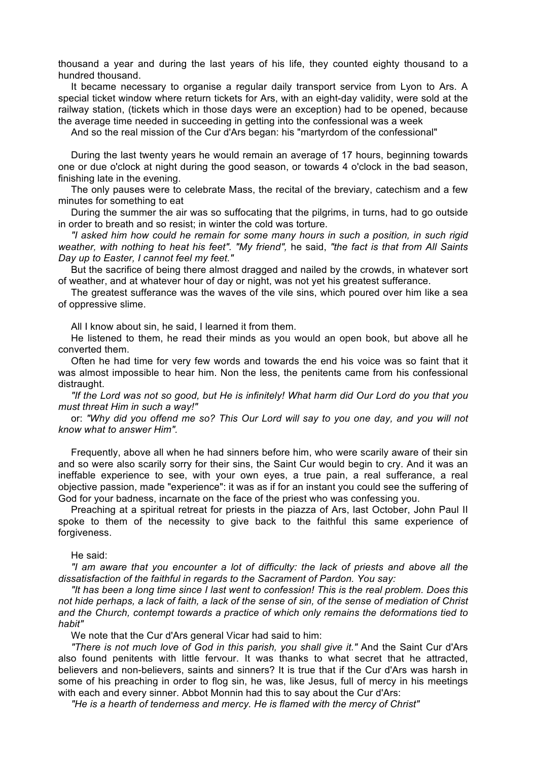thousand a year and during the last years of his life, they counted eighty thousand to a hundred thousand.

It became necessary to organise a regular daily transport service from Lyon to Ars. A special ticket window where return tickets for Ars, with an eight-day validity, were sold at the railway station, (tickets which in those days were an exception) had to be opened, because the average time needed in succeeding in getting into the confessional was a week

And so the real mission of the Cur d'Ars began: his "martyrdom of the confessional"

During the last twenty years he would remain an average of 17 hours, beginning towards one or due o'clock at night during the good season, or towards 4 o'clock in the bad season, finishing late in the evening.

The only pauses were to celebrate Mass, the recital of the breviary, catechism and a few minutes for something to eat

During the summer the air was so suffocating that the pilgrims, in turns, had to go outside in order to breath and so resist; in winter the cold was torture.

*"I asked him how could he remain for some many hours in such a position, in such rigid weather, with nothing to heat his feet". "My friend",* he said, *"the fact is that from All Saints Day up to Easter, I cannot feel my feet."*

But the sacrifice of being there almost dragged and nailed by the crowds, in whatever sort of weather, and at whatever hour of day or night, was not yet his greatest sufferance.

The greatest sufferance was the waves of the vile sins, which poured over him like a sea of oppressive slime.

All I know about sin, he said, I learned it from them.

He listened to them, he read their minds as you would an open book, but above all he converted them.

Often he had time for very few words and towards the end his voice was so faint that it was almost impossible to hear him. Non the less, the penitents came from his confessional distraught.

*"If the Lord was not so good, but He is infinitely! What harm did Our Lord do you that you must threat Him in such a way!"* 

or: *"Why did you offend me so? This Our Lord will say to you one day, and you will not know what to answer Him".*

Frequently, above all when he had sinners before him, who were scarily aware of their sin and so were also scarily sorry for their sins, the Saint Cur would begin to cry. And it was an ineffable experience to see, with your own eyes, a true pain, a real sufferance, a real objective passion, made "experience": it was as if for an instant you could see the suffering of God for your badness, incarnate on the face of the priest who was confessing you.

Preaching at a spiritual retreat for priests in the piazza of Ars, last October, John Paul II spoke to them of the necessity to give back to the faithful this same experience of forgiveness.

He said:

*"I am aware that you encounter a lot of difficulty: the lack of priests and above all the dissatisfaction of the faithful in regards to the Sacrament of Pardon. You say:*

*"It has been a long time since I last went to confession! This is the real problem. Does this not hide perhaps, a lack of faith, a lack of the sense of sin, of the sense of mediation of Christ and the Church, contempt towards a practice of which only remains the deformations tied to habit"*

We note that the Cur d'Ars general Vicar had said to him:

*"There is not much love of God in this parish, you shall give it."* And the Saint Cur d'Ars also found penitents with little fervour. It was thanks to what secret that he attracted, believers and non-believers, saints and sinners? It is true that if the Cur d'Ars was harsh in some of his preaching in order to flog sin, he was, like Jesus, full of mercy in his meetings with each and every sinner. Abbot Monnin had this to say about the Cur d'Ars:

*"He is a hearth of tenderness and mercy. He is flamed with the mercy of Christ"*